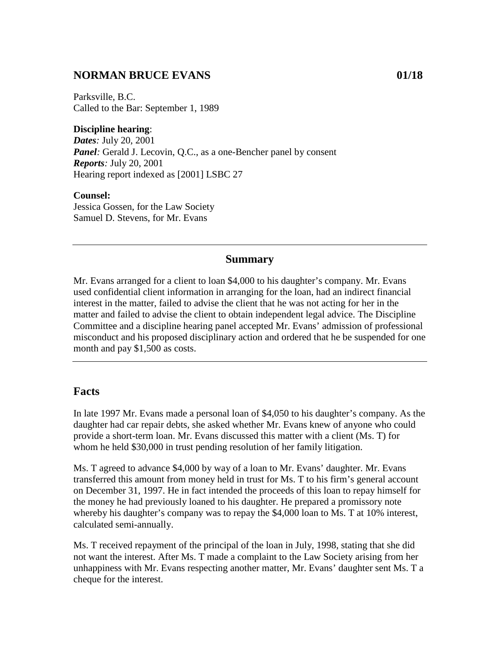## **NORMAN BRUCE EVANS 01/18**

Parksville, B.C. Called to the Bar: September 1, 1989

**Discipline hearing**: *Dates:* July 20, 2001 *Panel*: Gerald J. Lecovin, Q.C., as a one-Bencher panel by consent *Reports:* July 20, 2001 Hearing report indexed as [2001] LSBC 27

#### **Counsel:**

Jessica Gossen, for the Law Society Samuel D. Stevens, for Mr. Evans

#### **Summary**

Mr. Evans arranged for a client to loan \$4,000 to his daughter's company. Mr. Evans used confidential client information in arranging for the loan, had an indirect financial interest in the matter, failed to advise the client that he was not acting for her in the matter and failed to advise the client to obtain independent legal advice. The Discipline Committee and a discipline hearing panel accepted Mr. Evans' admission of professional misconduct and his proposed disciplinary action and ordered that he be suspended for one month and pay \$1,500 as costs.

### **Facts**

In late 1997 Mr. Evans made a personal loan of \$4,050 to his daughter's company. As the daughter had car repair debts, she asked whether Mr. Evans knew of anyone who could provide a short-term loan. Mr. Evans discussed this matter with a client (Ms. T) for whom he held \$30,000 in trust pending resolution of her family litigation.

Ms. T agreed to advance \$4,000 by way of a loan to Mr. Evans' daughter. Mr. Evans transferred this amount from money held in trust for Ms. T to his firm's general account on December 31, 1997. He in fact intended the proceeds of this loan to repay himself for the money he had previously loaned to his daughter. He prepared a promissory note whereby his daughter's company was to repay the \$4,000 loan to Ms. T at 10% interest, calculated semi-annually.

Ms. T received repayment of the principal of the loan in July, 1998, stating that she did not want the interest. After Ms. T made a complaint to the Law Society arising from her unhappiness with Mr. Evans respecting another matter, Mr. Evans' daughter sent Ms. T a cheque for the interest.